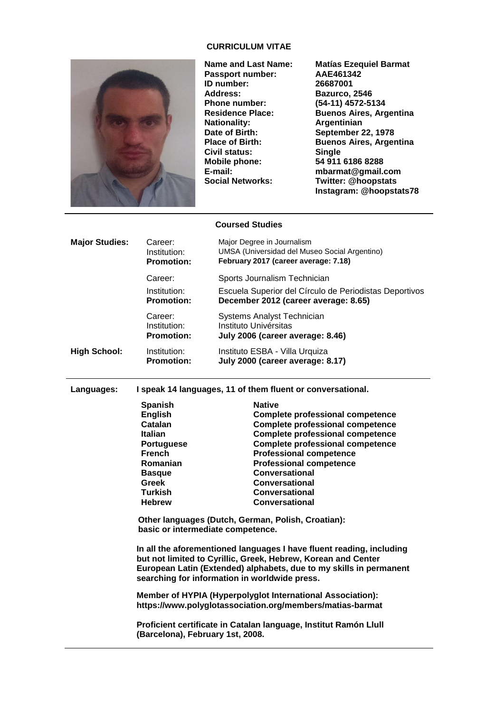## **CURRICULUM VITAE**



**Passport number:** AAE46134<br>1D number: 26687001 **ID number:**<br>**Address: Address: Bazurco, 2546 Phone number: (54-11) 4572-5134 Date of Birth: September 22, 1978<br>Place of Birth: Buenos Aires, Arger Civil status:**<br>Mobile phone: **Mobile phone: 54 911 6186 8288**

**Name and Last Name: Matías Ezequiel Barmat Residence Place: Buenos Aires, Argentina Argentinian Buenos Aires, Argentina**<br>Single **E-mail: mbarmat@gmail.com Social Networks: Twitter: @hoopstats Instagram: @hoopstats78**

#### **Coursed Studies**

| <b>Major Studies:</b> | Career:<br>Institution:<br><b>Promotion:</b> | Major Degree in Journalism<br>UMSA (Universidad del Museo Social Argentino)<br>February 2017 (career average: 7.18) |
|-----------------------|----------------------------------------------|---------------------------------------------------------------------------------------------------------------------|
|                       | Career:                                      | Sports Journalism Technician                                                                                        |
|                       | Institution:<br><b>Promotion:</b>            | Escuela Superior del Círculo de Periodistas Deportivos<br>December 2012 (career average: 8.65)                      |
|                       | Career:<br>Institution:<br><b>Promotion:</b> | <b>Systems Analyst Technician</b><br>Instituto Univérsitas<br>July 2006 (career average: 8.46)                      |
| <b>High School:</b>   | Institution:<br><b>Promotion:</b>            | Instituto ESBA - Villa Urquiza<br>July 2000 (career average: 8.17)                                                  |

**Languages: I speak 14 languages, 11 of them fluent or conversational.**

| <b>Spanish</b>    | <b>Native</b>                           |
|-------------------|-----------------------------------------|
| <b>English</b>    | <b>Complete professional competence</b> |
| Catalan           | <b>Complete professional competence</b> |
| <b>Italian</b>    | <b>Complete professional competence</b> |
| <b>Portuguese</b> | <b>Complete professional competence</b> |
| <b>French</b>     | <b>Professional competence</b>          |
| Romanian          | <b>Professional competence</b>          |
| <b>Basque</b>     | <b>Conversational</b>                   |
| <b>Greek</b>      | Conversational                          |
| <b>Turkish</b>    | Conversational                          |
| <b>Hebrew</b>     | Conversational                          |
|                   |                                         |

**Other languages (Dutch, German, Polish, Croatian): basic or intermediate competence.**

**In all the aforementioned languages I have fluent reading, including but not limited to Cyrillic, Greek, Hebrew, Korean and Center European Latin (Extended) alphabets, due to my skills in permanent searching for information in worldwide press.**

**Member of HYPIA (Hyperpolyglot International Association): https://www.polyglotassociation.org/members/matias-barmat**

**Proficient certificate in Catalan language, Institut Ramón Llull (Barcelona), February 1st, 2008.**